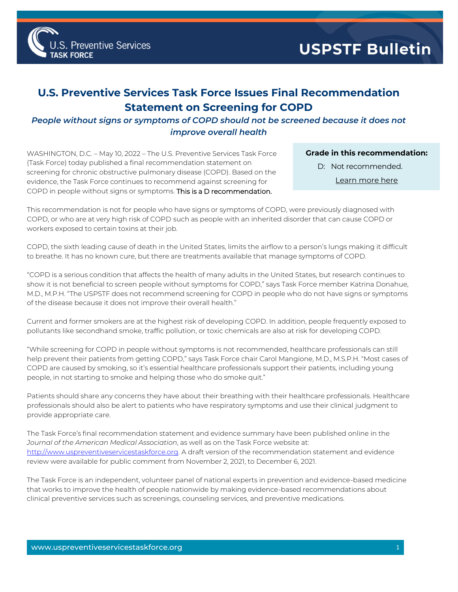

## **U.S. Preventive Services Task Force Issues Final Recommendation Statement on Screening for COPD**

## *People without signs or symptoms of COPD should not be screened because it does not improve overall health*

WASHINGTON, D.C. – May 10, 2022 – The U.S. Preventive Services Task Force (Task Force) today published a final recommendation statement on screening for chronic obstructive pulmonary disease (COPD). Based on the evidence, the Task Force continues to recommend against screening for COPD in people without signs or symptoms. This is a D recommendation.

## **Grade in this recommendation:**

- D: Not recommended.
	- [Learn more here](http://www.uspreventiveservicestaskforce.org/Page/Name/grade-definitions)

This recommendation is not for people who have signs or symptoms of COPD, were previously diagnosed with COPD, or who are at very high risk of COPD such as people with an inherited disorder that can cause COPD or workers exposed to certain toxins at their job.

COPD, the sixth leading cause of death in the United States, limits the airflow to a person's lungs making it difficult to breathe. It has no known cure, but there are treatments available that manage symptoms of COPD.

"COPD is a serious condition that affects the health of many adults in the United States, but research continues to show it is not beneficial to screen people without symptoms for COPD," says Task Force member Katrina Donahue, M.D., M.P.H. "The USPSTF does not recommend screening for COPD in people who do not have signs or symptoms of the disease because it does not improve their overall health."

Current and former smokers are at the highest risk of developing COPD. In addition, people frequently exposed to pollutants like secondhand smoke, traffic pollution, or toxic chemicals are also at risk for developing COPD.

"While screening for COPD in people without symptoms is not recommended, healthcare professionals can still help prevent their patients from getting COPD," says Task Force chair Carol Mangione, M.D., M.S.P.H. "Most cases of COPD are caused by smoking, so it's essential healthcare professionals support their patients, including young people, in not starting to smoke and helping those who do smoke quit."

Patients should share any concerns they have about their breathing with their healthcare professionals. Healthcare professionals should also be alert to patients who have respiratory symptoms and use their clinical judgment to provide appropriate care.

The Task Force's final recommendation statement and evidence summary have been published online in the *Journal of the American Medical Association*, as well as on the Task Force website at: [http://www.uspreventiveservicestaskforce.org.](http://www.uspreventiveservicestaskforce.org/) A draft version of the recommendation statement and evidence review were available for public comment from November 2, 2021, to December 6, 2021.

The Task Force is an independent, volunteer panel of national experts in prevention and evidence-based medicine that works to improve the health of people nationwide by making evidence-based recommendations about clinical preventive services such as screenings, counseling services, and preventive medications.